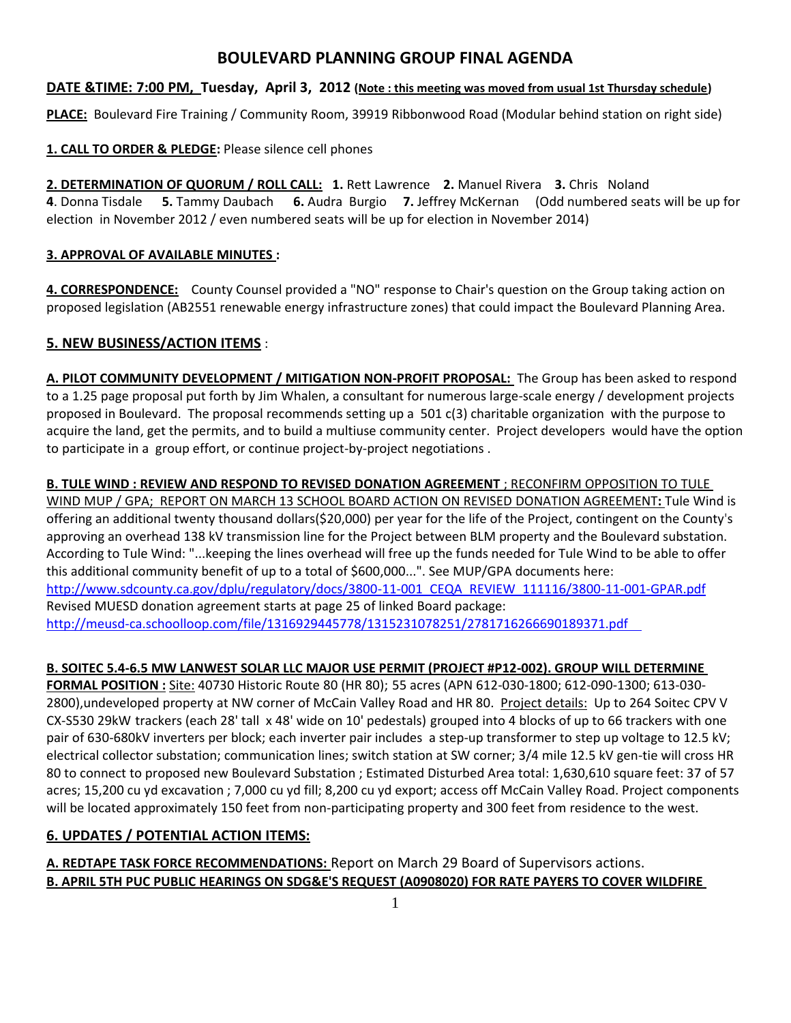# **BOULEVARD PLANNING GROUP FINAL AGENDA**

### DATE &TIME: 7:00 PM, Tuesday, April 3, 2012 (Note : this meeting was moved from usual 1st Thursday schedule)

**PLACE:** Boulevard Fire Training / Community Room, 39919 Ribbonwood Road (Modular behind station on right side)

#### **1. CALL TO ORDER & PLEDGE:** Please silence cell phones

**2. DETERMINATION OF QUORUM / ROLL CALL: 1.** Rett Lawrence **2.** Manuel Rivera **3.** Chris Noland **4**. Donna Tisdale **5.** Tammy Daubach **6.** Audra Burgio **7.** Jeffrey McKernan (Odd numbered seats will be up for election in November 2012 / even numbered seats will be up for election in November 2014)

#### **3. APPROVAL OF AVAILABLE MINUTES :**

**4. CORRESPONDENCE:** County Counsel provided a "NO" response to Chair's question on the Group taking action on proposed legislation (AB2551 renewable energy infrastructure zones) that could impact the Boulevard Planning Area.

#### **5. NEW BUSINESS/ACTION ITEMS** :

**A. PILOT COMMUNITY DEVELOPMENT / MITIGATION NON-PROFIT PROPOSAL:** The Group has been asked to respond to a 1.25 page proposal put forth by Jim Whalen, a consultant for numerous large-scale energy / development projects proposed in Boulevard. The proposal recommends setting up a 501 c(3) charitable organization with the purpose to acquire the land, get the permits, and to build a multiuse community center. Project developers would have the option to participate in a group effort, or continue project-by-project negotiations .

#### **B. TULE WIND : REVIEW AND RESPOND TO REVISED DONATION AGREEMENT** ; RECONFIRM OPPOSITION TO TULE

WIND MUP / GPA; REPORT ON MARCH 13 SCHOOL BOARD ACTION ON REVISED DONATION AGREEMENT**:** Tule Wind is offering an additional twenty thousand dollars(\$20,000) per year for the life of the Project, contingent on the County's approving an overhead 138 kV transmission line for the Project between BLM property and the Boulevard substation. According to Tule Wind: "...keeping the lines overhead will free up the funds needed for Tule Wind to be able to offer this additional community benefit of up to a total of \$600,000...". See MUP/GPA documents here: [http://www.sdcounty.ca.gov/dplu/regulatory/docs/3800-11-001\\_CEQA\\_REVIEW\\_111116/3800-11-001-GPAR.pdf](http://www.sdcounty.ca.gov/dplu/regulatory/docs/3800-11-001_CEQA_REVIEW_111116/3800-11-001-GPAR.pdf) Revised MUESD donation agreement starts at page 25 of linked Board package: <http://meusd-ca.schoolloop.com/file/1316929445778/1315231078251/2781716266690189371.pdf>

# **B. SOITEC 5.4-6.5 MW LANWEST SOLAR LLC MAJOR USE PERMIT (PROJECT #P12-002). GROUP WILL DETERMINE**

**FORMAL POSITION :** Site: 40730 Historic Route 80 (HR 80); 55 acres (APN 612-030-1800; 612-090-1300; 613-030- 2800),undeveloped property at NW corner of McCain Valley Road and HR 80. Project details: Up to 264 Soitec CPV V CX-S530 29kW trackers (each 28' tall x 48' wide on 10' pedestals) grouped into 4 blocks of up to 66 trackers with one pair of 630-680kV inverters per block; each inverter pair includes a step-up transformer to step up voltage to 12.5 kV; electrical collector substation; communication lines; switch station at SW corner; 3/4 mile 12.5 kV gen-tie will cross HR 80 to connect to proposed new Boulevard Substation ; Estimated Disturbed Area total: 1,630,610 square feet: 37 of 57 acres; 15,200 cu yd excavation ; 7,000 cu yd fill; 8,200 cu yd export; access off McCain Valley Road. Project components will be located approximately 150 feet from non-participating property and 300 feet from residence to the west.

# **6. UPDATES / POTENTIAL ACTION ITEMS:**

# **A. REDTAPE TASK FORCE RECOMMENDATIONS:** Report on March 29 Board of Supervisors actions. **B. APRIL 5TH PUC PUBLIC HEARINGS ON SDG&E'S REQUEST (A0908020) FOR RATE PAYERS TO COVER WILDFIRE**